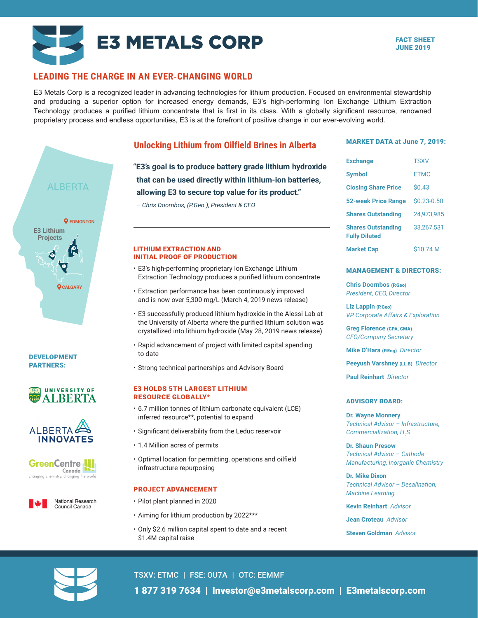

## **LEADING THE CHARGE IN AN EVER-CHANGING WORLD**

E3 Metals Corp is a recognized leader in advancing technologies for lithium production. Focused on environmental stewardship and producing a superior option for increased energy demands, E3's high-performing Ion Exchange Lithium Extraction Technology produces a purified lithium concentrate that is first in its class. With a globally significant resource, renowned proprietary process and endless opportunities, E3 is at the forefront of positive change in our ever-evolving world.



DEVELOPMENT PARTNERS:





**GreenCentre** Canada<sup>J</sup> ging chemistry, changing the world



## **Unlocking Lithium from Oilfield Brines in Alberta**

**" E3's goal is to produce battery grade lithium hydroxide that can be used directly within lithium-ion batteries, allowing E3 to secure top value for its product."** 

*– Chris Doornbos, (P.Geo.), President & CEO*

#### **<sup>3</sup>** LITHIUM EXTRACTION AND INITIAL PROOF OF PRODUCTION

- E3's high-performing proprietary Ion Exchange Lithium Extraction Technology produces a purified lithium concentrate
- Extraction performance has been continuously improved and is now over 5,300 mg/L (March 4, 2019 news release)
- E3 successfully produced lithium hydroxide in the Alessi Lab at the University of Alberta where the purified lithium solution was crystallized into lithium hydroxide (May 28, 2019 news release)
- Rapid advancement of project with limited capital spending to date
- Strong technical partnerships and Advisory Board

#### E3 HOLDS 5TH LARGEST LITHIUM RESOURCE GLOBALLY\*

- 6.7 million tonnes of lithium carbonate equivalent (LCE) inferred resource\*\*, potential to expand
- Significant deliverability from the Leduc reservoir
- 1.4 Million acres of permits
- Optimal location for permitting, operations and oilfield infrastructure repurposing

### PROJECT ADVANCEMENT

- Pilot plant planned in 2020
- Aiming for lithium production by 2022\*\*\*
- Only \$2.6 million capital spent to date and a recent \$1.4M capital raise

#### MARKET DATA at June 7, 2019:

| <b>Exchange</b>                                   | <b>TSXV</b>    |
|---------------------------------------------------|----------------|
| <b>Symbol</b>                                     | <b>FTMC</b>    |
| <b>Closing Share Price</b>                        | \$0.43         |
| <b>52-week Price Range</b>                        | $$0.23 - 0.50$ |
| <b>Shares Outstanding</b>                         | 24.973.985     |
| <b>Shares Outstanding</b><br><b>Fully Diluted</b> | 33,267,531     |
| <b>Market Cap</b>                                 | \$10.74 M      |

#### MANAGEMENT & DIRECTORS:

**Chris Doornbos** (P.Geo) *President, CEO, Director*

**Liz Lappin** (P.Geo) *VP Corporate Affairs & Exploration*

**Greg Florence** (CPA, CMA) *CFO/Company Secretary*

**Mike O'Hara** (P.Eng) *Director*

**Peeyush Varshney** (LL.B) *Director*

**Paul Reinhart** *Director*

#### ADVISORY BOARD:

**Dr. Wayne Monnery**  *Technical Advisor – Infrastructure, Commercialization, H2 S*

**Dr. Shaun Presow**  *Technical Advisor – Cathode Manufacturing, Inorganic Chemistry*

**Dr. Mike Dixon** *Technical Advisor – Desalination, Machine Learning*

**Kevin Reinhart** *Advisor*

**Jean Croteau** *Advisor*

**Steven Goldman** *Advisor*